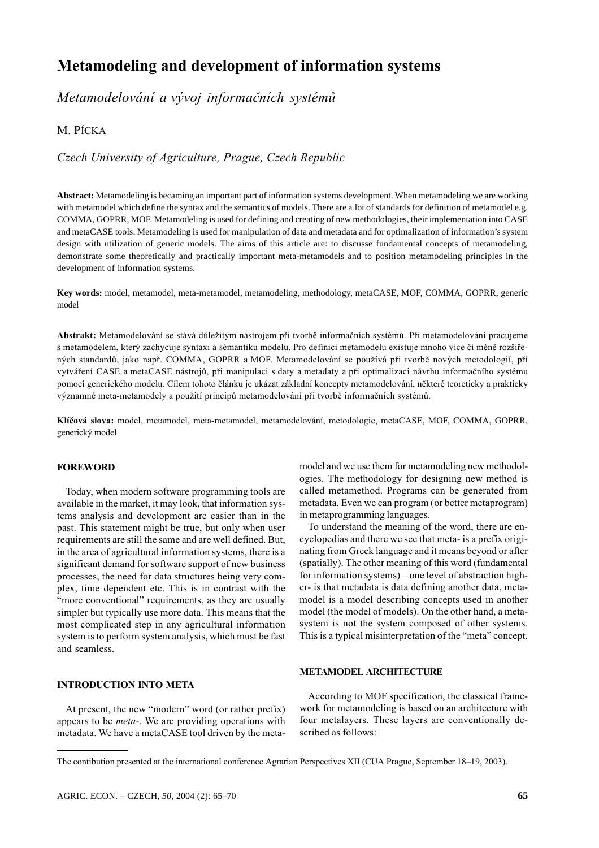# Metamodeling and development of information systems

Metamodelování a vývoj informačních systémů

# M. PÍCKA

Czech University of Agriculture, Prague, Czech Republic

**Abstract:** Metamodeling is becaming an important part of information systems development. When metamodeling we are working with metamodel which define the syntax and the semantics of models. There are a lot of standards for definition of metamodel e.g. COMMA, GOPRR, MOF. Metamodeling is used for defining and creating of new methodologies, their implementation into CASE and metaCASE tools. Metamodeling is used for manipulation of data and metadata and for optimalization of information's system design with utilization of generic models. The aims of this article are: to discusse fundamental concepts of metamodeling, demonstrate some theoretically and practically important meta-metamodels and to position metamodeling principles in the development of information systems.

**Key words:** model, metamodel, meta-metamodel, metamodeling, methodology, metaCASE, MOF, COMMA, GOPRR, generic model

Abstrakt: Metamodelování se stává důležitým nástrojem při tvorbě informačních systémů. Při metamodelování pracujeme s metamodelem, který zachycuje syntaxi a sémantiku modelu. Pro definici metamodelu existuje mnoho více či méně rozšířených standardů, jako např. COMMA, GOPRR a MOF. Metamodelování se používá při tvorbě nových metodologií, pří vytváření CASE a metaCASE nástrojů, při manipulaci s daty a metadaty a při optimalizaci návrhu informačního systému pomocí generického modelu. Cílem tohoto článku je ukázat základní koncepty metamodelování, některé teoreticky a prakticky významné meta-metamodely a použití principů metamodelování při tvorbě informačních systémů.

Klíčová slova: model, metamodel, meta-metamodel, metamodelování, metodologie, metaCASE, MOF, COMMA, GOPRR, generický model

# **FOREWORD**

Today, when modern software programming tools are available in the market, it may look, that information systems analysis and development are easier than in the past. This statement might be true, but only when user requirements are still the same and are well defined. But, in the area of agricultural information systems, there is a significant demand for software support of new business processes, the need for data structures being very complex, time dependent etc. This is in contrast with the "more conventional" requirements, as they are usually simpler but typically use more data. This means that the most complicated step in any agricultural information system is to perform system analysis, which must be fast and seamless.

# INTRODUCTION INTO META

At present, the new "modern" word (or rather prefix) appears to be *meta*-. We are providing operations with metadata. We have a metaCASE tool driven by the metamodel and we use them for metamodeling new methodologies. The methodology for designing new method is called metamethod. Programs can be generated from metadata. Even we can program (or better metaprogram) in metaprogramming languages.

To understand the meaning of the word, there are encyclopedias and there we see that meta- is a prefix originating from Greek language and it means beyond or after (spatially). The other meaning of this word (fundamental for information systems) – one level of abstraction higher- is that metadata is data defining another data, metamodel is a model describing concepts used in another model (the model of models). On the other hand, a metasystem is not the system composed of other systems. This is a typical misinterpretation of the "meta" concept.

# METAMODEL ARCHITECTURE

According to MOF specification, the classical framework for metamodeling is based on an architecture with four metalayers. These layers are conventionally described as follows:

The contibution presented at the international conference Agrarian Perspectives XII (CUA Prague, September 18–19, 2003).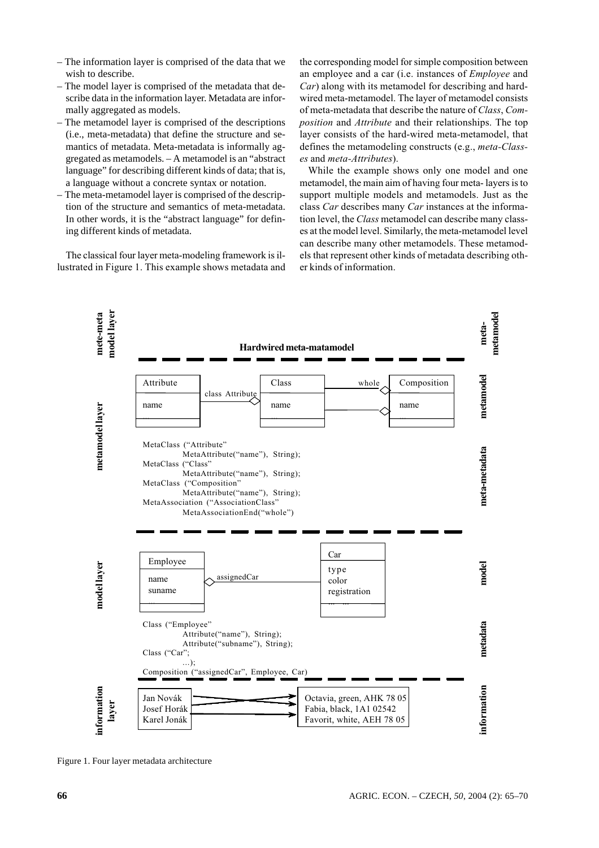- The information layer is comprised of the data that we wish to describe.
- The model laver is comprised of the metadata that describe data in the information layer. Metadata are informally aggregated as models.
- The metamodel layer is comprised of the descriptions (i.e., meta-metadata) that define the structure and semantics of metadata. Meta-metadata is informally aggregated as metamodels. - A metamodel is an "abstract" language" for describing different kinds of data; that is, a language without a concrete syntax or notation.
- The meta-metamodel layer is comprised of the description of the structure and semantics of meta-metadata. In other words, it is the "abstract language" for defining different kinds of metadata.

The classical four layer meta-modeling framework is illustrated in Figure 1. This example shows metadata and the corresponding model for simple composition between an employee and a car (*i.e.* instances of *Employee* and *Car*) along with its metamodel for describing and hardwired meta-metamodel. The laver of metamodel consists of meta-metadata that describe the nature of Class, Composition and Attribute and their relationships. The top layer consists of the hard-wired meta-metamodel, that defines the metamodeling constructs (e.g., *meta-Class*es and meta-Attributes).

While the example shows only one model and one metamodel, the main aim of having four meta-layers is to support multiple models and metamodels. Just as the class Car describes many Car instances at the information level, the Class metamodel can describe many classes at the model level. Similarly, the meta-metamodel level can describe many other metamodels. These metamodels that represent other kinds of metadata describing other kinds of information.



Figure 1. Four layer metadata architecture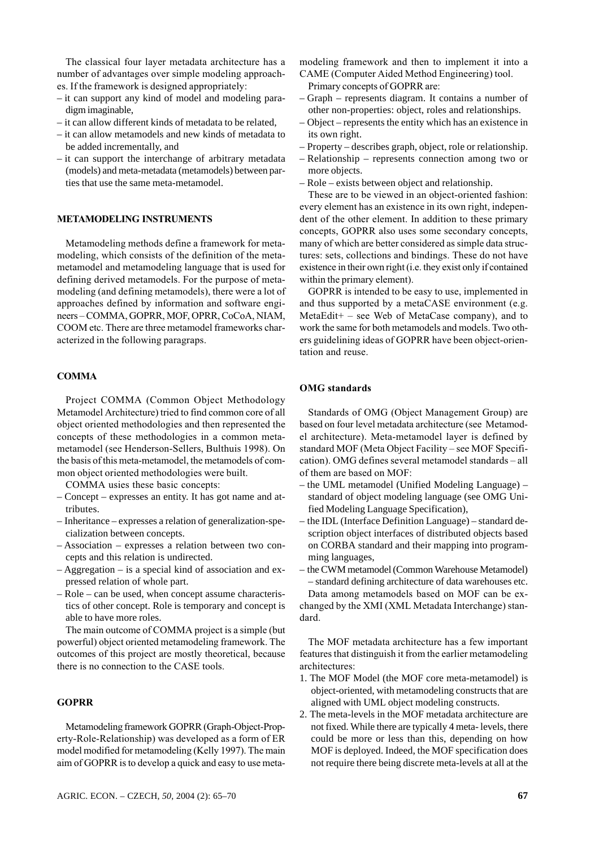The classical four layer metadata architecture has a number of advantages over simple modeling approaches. If the framework is designed appropriately:

- it can support any kind of model and modeling paradigm imaginable,
- it can allow different kinds of metadata to be related,
- it can allow metamodels and new kinds of metadata to be added incrementally, and
- it can support the interchange of arbitrary metadata (models) and meta-metadata (metamodels) between parties that use the same meta-metamodel.

#### METAMODELING INSTRUMENTS

Metamodeling methods define a framework for metamodeling, which consists of the definition of the metametamodel and metamodeling language that is used for defining derived metamodels. For the purpose of metamodeling (and defining metamodels), there were a lot of approaches defined by information and software engineers – COMMA, GOPRR, MOF, OPRR, CoCoA, NIAM, COOM etc. There are three metamodel frameworks characterized in the following paragraps.

#### **COMMA**

Project COMMA (Common Object Methodology Metamodel Architecture) tried to find common core of all object oriented methodologies and then represented the concepts of these methodologies in a common metametamodel (see Henderson-Sellers, Bulthuis 1998). On the basis of this meta-metamodel, the metamodels of common object oriented methodologies were built.

COMMA usies these basic concepts:

- Concept expresses an entity. It has got name and attributes.
- Inheritance expresses a relation of generalization-specialization between concepts.
- Association expresses a relation between two concepts and this relation is undirected.
- Aggregation is a special kind of association and expressed relation of whole part.
- Role can be used, when concept assume characteristics of other concept. Role is temporary and concept is able to have more roles.

The main outcome of COMMA project is a simple (but powerful) object oriented metamodeling framework. The outcomes of this project are mostly theoretical, because there is no connection to the CASE tools.

#### GOPRR

Metamodeling framework GOPRR (Graph-Object-Property-Role-Relationship) was developed as a form of ER model modified for metamodeling (Kelly 1997). The main aim of GOPRR is to develop a quick and easy to use metamodeling framework and then to implement it into a CAME (Computer Aided Method Engineering) tool.

- Primary concepts of GOPRR are:
- Graph represents diagram. It contains a number of other non-properties: object, roles and relationships.
- Object represents the entity which has an existence in its own right.
- Property describes graph, object, role or relationship.
- Relationship represents connection among two or more objects.
- Role exists between object and relationship.

These are to be viewed in an object-oriented fashion: every element has an existence in its own right, independent of the other element. In addition to these primary concepts, GOPRR also uses some secondary concepts, many of which are better considered as simple data structures: sets, collections and bindings. These do not have existence in their own right (i.e. they exist only if contained within the primary element).

GOPRR is intended to be easy to use, implemented in and thus supported by a metaCASE environment (e.g. MetaEdit+ - see Web of MetaCase company), and to work the same for both metamodels and models. Two others guidelining ideas of GOPRR have been object-orientation and reuse.

#### **OMG** standards

Standards of OMG (Object Management Group) are based on four level metadata architecture (see Metamodel architecture). Meta-metamodel layer is defined by standard MOF (Meta Object Facility - see MOF Specification). OMG defines several metamodel standards - all of them are based on MOF:

- the UML metamodel (Unified Modeling Language) standard of object modeling language (see OMG Unified Modeling Language Specification),
- the IDL (Interface Definition Language) standard description object interfaces of distributed objects based on CORBA standard and their mapping into programming languages,
- the CWM metamodel (Common Warehouse Metamodel) – standard defining architecture of data warehouses etc. Data among metamodels based on MOF can be exchanged by the XMI (XML Metadata Interchange) standard.

The MOF metadata architecture has a few important features that distinguish it from the earlier metamodeling architectures:

- 1. The MOF Model (the MOF core meta-metamodel) is object-oriented, with metamodeling constructs that are aligned with UML object modeling constructs.
- 2. The meta-levels in the MOF metadata architecture are not fixed. While there are typically 4 meta- levels, there could be more or less than this, depending on how MOF is deployed. Indeed, the MOF specification does not require there being discrete meta-levels at all at the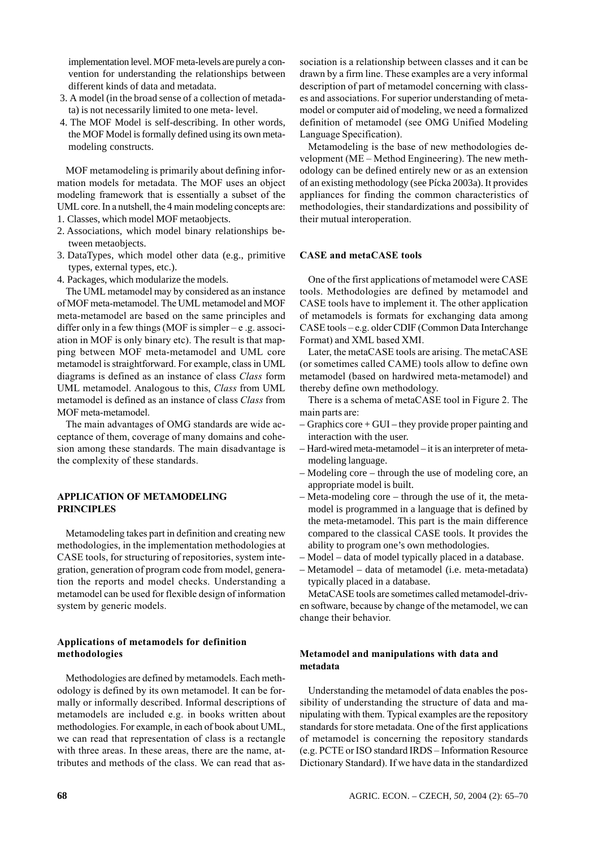implementation level. MOF meta-levels are purely a convention for understanding the relationships between different kinds of data and metadata.

- 3. A model (in the broad sense of a collection of metadata) is not necessarily limited to one meta- level.
- 4. The MOF Model is self-describing. In other words, the MOF Model is formally defined using its own metamodeling constructs.

MOF metamodeling is primarily about defining information models for metadata. The MOF uses an object modeling framework that is essentially a subset of the UML core. In a nutshell, the 4 main modeling concepts are:

- 1. Classes, which model MOF metaobjects.
- 2. Associations, which model binary relationships between metaobjects.
- 3. DataTypes, which model other data (e.g., primitive types, external types, etc.).
- 4. Packages, which modularize the models.

The UML metamodel may by considered as an instance of MOF meta-metamodel. The UML metamodel and MOF meta-metamodel are based on the same principles and differ only in a few things (MOF is simpler - e .g. association in MOF is only binary etc). The result is that mapping between MOF meta-metamodel and UML core metamodel is straightforward. For example, class in UML diagrams is defined as an instance of class Class form UML metamodel. Analogous to this, Class from UML metamodel is defined as an instance of class Class from MOF meta-metamodel.

The main advantages of OMG standards are wide acceptance of them, coverage of many domains and cohesion among these standards. The main disadvantage is the complexity of these standards.

## APPLICATION OF METAMODELING **PRINCIPLES**

Metamodeling takes part in definition and creating new methodologies, in the implementation methodologies at CASE tools, for structuring of repositories, system integration, generation of program code from model, generation the reports and model checks. Understanding a metamodel can be used for flexible design of information system by generic models.

# Applications of metamodels for definition methodologies

Methodologies are defined by metamodels. Each methodology is defined by its own metamodel. It can be formally or informally described. Informal descriptions of metamodels are included e.g. in books written about methodologies. For example, in each of book about UML, we can read that representation of class is a rectangle with three areas. In these areas, there are the name, attributes and methods of the class. We can read that association is a relationship between classes and it can be drawn by a firm line. These examples are a very informal description of part of metamodel concerning with classes and associations. For superior understanding of metamodel or computer aid of modeling, we need a formalized definition of metamodel (see OMG Unified Modeling Language Specification).

Metamodeling is the base of new methodologies development (ME – Method Engineering). The new methodology can be defined entirely new or as an extension of an existing methodology (see Pícka 2003a). It provides appliances for finding the common characteristics of methodologies, their standardizations and possibility of their mutual interoperation.

# CASE and metaCASE tools

One of the first applications of metamodel were CASE tools. Methodologies are defined by metamodel and CASE tools have to implement it. The other application of metamodels is formats for exchanging data among CASE tools - e.g. older CDIF (Common Data Interchange Format) and XML based XMI.

Later, the metaCASE tools are arising. The metaCASE (or sometimes called CAME) tools allow to define own metamodel (based on hardwired meta-metamodel) and thereby define own methodology.

There is a schema of metaCASE tool in Figure 2. The main parts are:

- Graphics core + GUI they provide proper painting and interaction with the user.
- Hard-wired meta-metamodel it is an interpreter of metamodeling language.
- Modeling core through the use of modeling core, an appropriate model is built.
- Meta-modeling core through the use of it, the metamodel is programmed in a language that is defined by the meta-metamodel. This part is the main difference compared to the classical CASE tools. It provides the ability to program one's own methodologies.
- Model data of model typically placed in a database.
- Metamodel data of metamodel (i.e. meta-metadata) typically placed in a database.

MetaCASE tools are sometimes called metamodel-driven software, because by change of the metamodel, we can change their behavior.

# Metamodel and manipulations with data and metadata

Understanding the metamodel of data enables the possibility of understanding the structure of data and manipulating with them. Typical examples are the repository standards for store metadata. One of the first applications of metamodel is concerning the repository standards (e.g. PCTE or ISO standard IRDS – Information Resource Dictionary Standard). If we have data in the standardized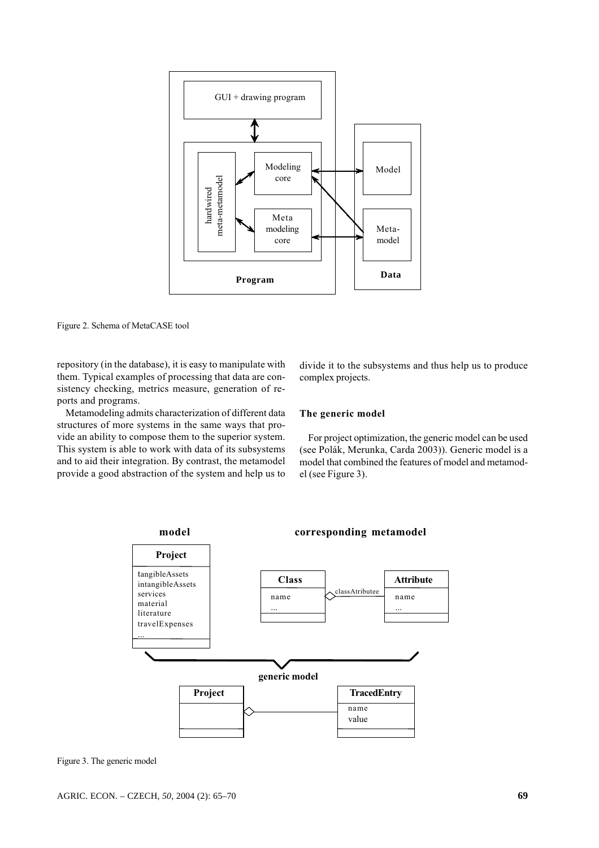

Figure 2. Schema of MetaCASE tool

repository (in the database), it is easy to manipulate with them. Typical examples of processing that data are consistency checking, metrics measure, generation of reports and programs.

Metamodeling admits characterization of different data structures of more systems in the same ways that provide an ability to compose them to the superior system. This system is able to work with data of its subsystems and to aid their integration. By contrast, the metamodel provide a good abstraction of the system and help us to

divide it to the subsystems and thus help us to produce complex projects.

#### The generic model

For project optimization, the generic model can be used (see Polák, Merunka, Carda 2003)). Generic model is a model that combined the features of model and metamodel (see Figure 3).